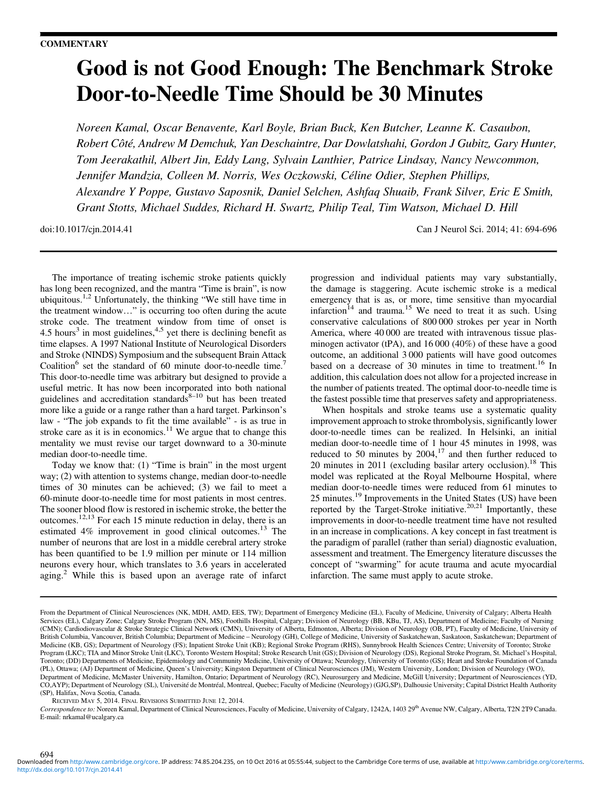## Good is not Good Enough: The Benchmark Stroke Door-to-Needle Time Should be 30 Minutes

Noreen Kamal, Oscar Benavente, Karl Boyle, Brian Buck, Ken Butcher, Leanne K. Casaubon, Robert Côté, Andrew M Demchuk, Yan Deschaintre, Dar Dowlatshahi, Gordon J Gubitz, Gary Hunter, Tom Jeerakathil, Albert Jin, Eddy Lang, Sylvain Lanthier, Patrice Lindsay, Nancy Newcommon, Jennifer Mandzia, Colleen M. Norris, Wes Oczkowski, Céline Odier, Stephen Phillips, Alexandre Y Poppe, Gustavo Saposnik, Daniel Selchen, Ashfaq Shuaib, Frank Silver, Eric E Smith, Grant Stotts, Michael Suddes, Richard H. Swartz, Philip Teal, Tim Watson, Michael D. Hill

doi:10.1017/cjn.2014.41 Can J Neurol Sci. 2014; 41: 694-696

The importance of treating ischemic stroke patients quickly has long been recognized, and the mantra "Time is brain", is now ubiquitous[.1,2](#page-2-0) Unfortunately, the thinking "We still have time in the treatment window…" is occurring too often during the acute stroke code. The treatment window from time of onset is 4.5 hours<sup>[3](#page-2-0)</sup> in most guidelines,<sup>4,5</sup> yet there is declining benefit as time elapses. A 1997 National Institute of Neurological Disorders and Stroke (NINDS) Symposium and the subsequent Brain Attack Coalition<sup>[6](#page-2-0)</sup> set the standard of 60 minute door-to-needle time.<sup>7</sup> This door-to-needle time was arbitrary but designed to provide a useful metric. It has now been incorporated into both national guidelines and accreditation standards $s<sup>8-10</sup>$  $s<sup>8-10</sup>$  $s<sup>8-10</sup>$  $s<sup>8-10</sup>$  $s<sup>8-10</sup>$  but has been treated more like a guide or a range rather than a hard target. Parkinson's law - "The job expands to fit the time available" - is as true in stroke care as it is in economics.<sup>[11](#page-2-0)</sup> We argue that to change this mentality we must revise our target downward to a 30-minute median door-to-needle time.

Today we know that: (1) "Time is brain" in the most urgent way; (2) with attention to systems change, median door-to-needle times of 30 minutes can be achieved; (3) we fail to meet a 60-minute door-to-needle time for most patients in most centres. The sooner blood flow is restored in ischemic stroke, the better the outcomes.<sup>[12,13](#page-2-0)</sup> For each 15 minute reduction in delay, there is an estimated 4% improvement in good clinical outcomes.<sup>[13](#page-2-0)</sup> The number of neurons that are lost in a middle cerebral artery stroke has been quantified to be 1.9 million per minute or 114 million neurons every hour, which translates to 3.6 years in accelerated aging.<sup>2</sup> While this is based upon an average rate of infarct progression and individual patients may vary substantially, the damage is staggering. Acute ischemic stroke is a medical emergency that is as, or more, time sensitive than myocardial infarction<sup>14</sup> and trauma.<sup>[15](#page-2-0)</sup> We need to treat it as such. Using conservative calculations of 800 000 strokes per year in North America, where 40 000 are treated with intravenous tissue plasminogen activator (tPA), and 16 000 (40%) of these have a good outcome, an additional 3 000 patients will have good outcomes based on a decrease of 30 minutes in time to treatment.<sup>[16](#page-2-0)</sup> In addition, this calculation does not allow for a projected increase in the number of patients treated. The optimal door-to-needle time is the fastest possible time that preserves safety and appropriateness.

When hospitals and stroke teams use a systematic quality improvement approach to stroke thrombolysis, significantly lower door-to-needle times can be realized. In Helsinki, an initial median door-to-needle time of 1 hour 45 minutes in 1998, was reduced to 50 minutes by  $2004$ ,<sup>[17](#page-2-0)</sup> and then further reduced to 20 minutes in 2011 (excluding basilar artery occlusion).<sup>[18](#page-2-0)</sup> This model was replicated at the Royal Melbourne Hospital, where median door-to-needle times were reduced from 61 minutes to 25 minutes.<sup>[19](#page-2-0)</sup> Improvements in the United States (US) have been reported by the Target-Stroke initiative.<sup>[20,21](#page-2-0)</sup> Importantly, these improvements in door-to-needle treatment time have not resulted in an increase in complications. A key concept in fast treatment is the paradigm of parallel (rather than serial) diagnostic evaluation, assessment and treatment. The Emergency literature discusses the concept of "swarming" for acute trauma and acute myocardial infarction. The same must apply to acute stroke.

RECEIVED MAY 5, 2014. FINAL REVISIONS SUBMITTED JUNE 12, 2014.

Correspondence to: Noreen Kamal, Department of Clinical Neurosciences, Faculty of Medicine, University of Calgary, 1242A, 1403 29<sup>th</sup> Avenue NW, Calgary, Alberta, T2N 2T9 Canada. E-mail: [nrkamal@ucalgary.ca](mailto:nrkamal@ucalgary.ca)

From the Department of Clinical Neurosciences (NK, MDH, AMD, EES, TW); Department of Emergency Medicine (EL), Faculty of Medicine, University of Calgary; Alberta Health Services (EL), Calgary Zone; Calgary Stroke Program (NN, MS), Foothills Hospital, Calgary; Division of Neurology (BB, KBu, TJ, AS), Department of Medicine; Faculty of Nursing<br>(CMN); Cardiodiovascular & Stroke Strategic Cli British Columbia, Vancouver, British Columbia; Department of Medicine – Neurology (GH), College of Medicine, University of Saskatchewan, Saskatoon, Saskatchewan; Department of Medicine (KB, GS); Department of Neurology (FS); Inpatient Stroke Unit (KB); Regional Stroke Program (RHS), Sunnybrook Health Sciences Centre; University of Toronto; Stroke Program (LKC); TIA and Minor Stroke Unit (LKC), Toronto Western Hospital; Stroke Research Unit (GS); Division of Neurology (DS), Regional Stroke Program, St. Michael's Hospital, Toronto; (DD) Departments of Medicine, Epidemiology and Community Medicine, University of Ottawa; Neurology, University of Toronto (GS); Heart and Stroke Foundation of Canada (PL), Ottawa; (AJ) Department of Medicine, Queen's University; Kingston Department of Clinical Neurosciences (JM), Western University, London; Division of Neurology (WO), Department of Medicine, McMaster University, Hamilton, Ontario; Department of Neurology (RC), Neurosurgery and Medicine, McGill University; Department of Neurosciences (YD, CO,AYP); Department of Neurology (SL), Université de Montréal, Montreal, Quebec; Faculty of Medicine (Neurology) (GJG,SP), Dalhousie University; Capital District Health Authority (SP), Halifax, Nova Scotia, Canada.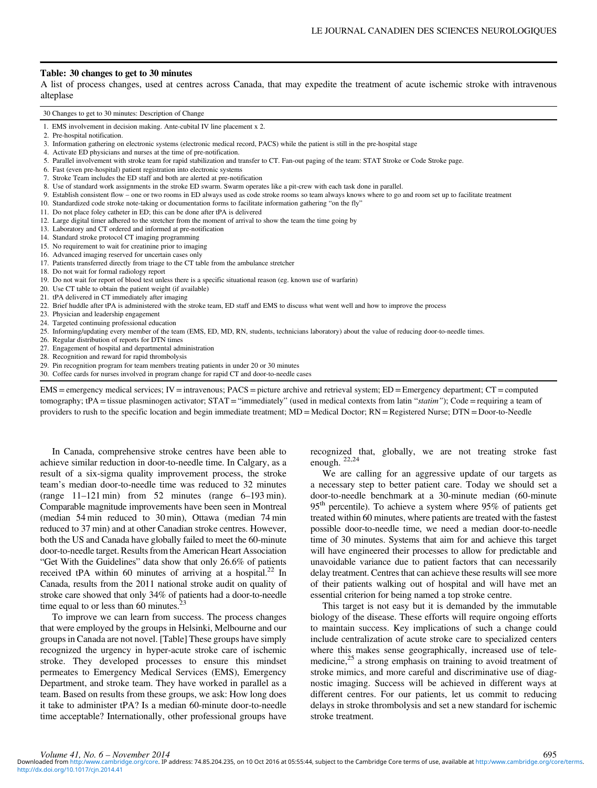## Table: 30 changes to get to 30 minutes

A list of process changes, used at centres across Canada, that may expedite the treatment of acute ischemic stroke with intravenous alteplase

30 Changes to get to 30 minutes: Description of Change

- 1. EMS involvement in decision making. Ante-cubital IV line placement x 2.
- 2. Pre-hospital notification.
- 3. Information gathering on electronic systems (electronic medical record, PACS) while the patient is still in the pre-hospital stage
- 4. Activate ED physicians and nurses at the time of pre-notification.
- 5. Parallel involvement with stroke team for rapid stabilization and transfer to CT. Fan-out paging of the team: STAT Stroke or Code Stroke page.
- 6. Fast (even pre-hospital) patient registration into electronic systems
- 7. Stroke Team includes the ED staff and both are alerted at pre-notification
- 8. Use of standard work assignments in the stroke ED swarm. Swarm operates like a pit-crew with each task done in parallel.
- 9. Establish consistent flow one or two rooms in ED always used as code stroke rooms so team always knows where to go and room set up to facilitate treatment
- 10. Standardized code stroke note-taking or documentation forms to facilitate information gathering "on the fly"
- 11. Do not place foley catheter in ED; this can be done after tPA is delivered
- 12. Large digital timer adhered to the stretcher from the moment of arrival to show the team the time going by
- 13. Laboratory and CT ordered and informed at pre-notification
- 14. Standard stroke protocol CT imaging programming
- 15. No requirement to wait for creatinine prior to imaging
- 16. Advanced imaging reserved for uncertain cases only
- 17. Patients transferred directly from triage to the CT table from the ambulance stretcher
- 18. Do not wait for formal radiology report
- 19. Do not wait for report of blood test unless there is a specific situational reason (eg. known use of warfarin)
- 20. Use CT table to obtain the patient weight (if available)
- 21. tPA delivered in CT immediately after imaging
- 22. Brief huddle after tPA is administered with the stroke team, ED staff and EMS to discuss what went well and how to improve the process
- 23. Physician and leadership engagement
- 24. Targeted continuing professional education
- 25. Informing/updating every member of the team (EMS, ED, MD, RN, students, technicians laboratory) about the value of reducing door-to-needle times.
- 26. Regular distribution of reports for DTN times
- 27. Engagement of hospital and departmental administration
- 28. Recognition and reward for rapid thrombolysis
- 29. Pin recognition program for team members treating patients in under 20 or 30 minutes
- 30. Coffee cards for nurses involved in program change for rapid CT and door-to-needle cases

EMS = emergency medical services; IV = intravenous; PACS = picture archive and retrieval system; ED = Emergency department; CT = computed tomography; tPA = tissue plasminogen activator; STAT = "immediately" (used in medical contexts from latin "statim"); Code = requiring a team of providers to rush to the specific location and begin immediate treatment; MD = Medical Doctor; RN = Registered Nurse; DTN = Door-to-Needle

In Canada, comprehensive stroke centres have been able to achieve similar reduction in door-to-needle time. In Calgary, as a result of a six-sigma quality improvement process, the stroke team's median door-to-needle time was reduced to 32 minutes  $(range-11-121\,min)$  from 52 minutes (range 6-193 min). Comparable magnitude improvements have been seen in Montreal (median 54 min reduced to 30 min), Ottawa (median 74 min reduced to 37 min) and at other Canadian stroke centres. However, both the US and Canada have globally failed to meet the 60-minute door-to-needle target. Results from the American Heart Association "Get With the Guidelines" data show that only 26.6% of patients received tPA within 60 minutes of arriving at a hospital.<sup>22</sup> In Canada, results from the 2011 national stroke audit on quality of stroke care showed that only 34% of patients had a door-to-needle time equal to or less than 60 minutes. $3$ 

To improve we can learn from success. The process changes that were employed by the groups in Helsinki, Melbourne and our groups in Canada are not novel. [Table] These groups have simply recognized the urgency in hyper-acute stroke care of ischemic stroke. They developed processes to ensure this mindset permeates to Emergency Medical Services (EMS), Emergency Department, and stroke team. They have worked in parallel as a team. Based on results from these groups, we ask: How long does it take to administer tPA? Is a median 60-minute door-to-needle time acceptable? Internationally, other professional groups have

recognized that, globally, we are not treating stroke fast enough. [22,24](#page-2-0)

We are calling for an aggressive update of our targets as a necessary step to better patient care. Today we should set a door-to-needle benchmark at a 30-minute median (60-minute  $95<sup>th</sup>$  percentile). To achieve a system where  $95\%$  of patients get treated within 60 minutes, where patients are treated with the fastest possible door-to-needle time, we need a median door-to-needle time of 30 minutes. Systems that aim for and achieve this target will have engineered their processes to allow for predictable and unavoidable variance due to patient factors that can necessarily delay treatment. Centres that can achieve these results will see more of their patients walking out of hospital and will have met an essential criterion for being named a top stroke centre.

This target is not easy but it is demanded by the immutable biology of the disease. These efforts will require ongoing efforts to maintain success. Key implications of such a change could include centralization of acute stroke care to specialized centers where this makes sense geographically, increased use of tele-medicine,<sup>[25](#page-2-0)</sup> a strong emphasis on training to avoid treatment of stroke mimics, and more careful and discriminative use of diagnostic imaging. Success will be achieved in different ways at different centres. For our patients, let us commit to reducing delays in stroke thrombolysis and set a new standard for ischemic stroke treatment.

695 Volume 41, No. 6 - November 2014<br>Downloaded from <http:/www.cambridge.org/core>. IP address: 74.85.204.235, on 10 Oct 2016 at 05:55:44, subject to the Cambridge Core terms of use, available at http:/www.cambridge.org/cor <http://dx.doi.org/10.1017/cjn.2014.41>